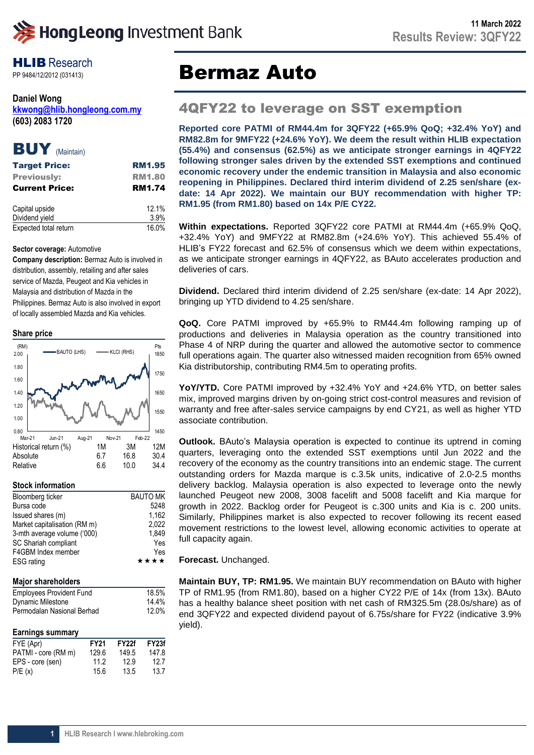**HLIB** Research

**Daniel Wong [kkwong@hlib.hongleong.com.my](mailto:kkwong@hlib.hongleong.com.my) (603) 2083 1720**



| <b>Target Price:</b>  | <b>RM1.95</b> |
|-----------------------|---------------|
| <b>Previously:</b>    | <b>RM1.80</b> |
| <b>Current Price:</b> | <b>RM1.74</b> |
| Capital upside        | 12.1%         |
| Dividend yield        | 3.9%          |

| <b>DIVIDELIA VIEID</b> | 7.970 |
|------------------------|-------|
| Expected total return  | 16.0% |
|                        |       |

#### **Sector coverage:** Automotive

**Company description:** Bermaz Auto is involved in distribution, assembly, retailing and after sales service of Mazda, Peugeot and Kia vehicles in Malaysia and distribution of Mazda in the Philippines. Bermaz Auto is also involved in export of locally assembled Mazda and Kia vehicles.

#### **Share price**



#### **Stock information**

| Bloomberg ticker                |       |       | <b>BAUTO MK</b> |  |  |  |
|---------------------------------|-------|-------|-----------------|--|--|--|
| Bursa code                      |       |       | 5248            |  |  |  |
| Issued shares (m)               |       |       | 1,162           |  |  |  |
| Market capitalisation (RM m)    |       | 2,022 |                 |  |  |  |
| 3-mth average volume ('000)     |       |       | 1.849           |  |  |  |
| SC Shariah compliant            |       |       | Yes             |  |  |  |
| F4GBM Index member              |       | Yes   |                 |  |  |  |
| <b>ESG</b> rating               |       |       | ****            |  |  |  |
|                                 |       |       |                 |  |  |  |
| <b>Major shareholders</b>       |       |       |                 |  |  |  |
| <b>Employees Provident Fund</b> |       | 18.5% |                 |  |  |  |
| Dynamic Milestone               |       | 14.4% |                 |  |  |  |
| Permodalan Nasional Berhad      |       | 12.0% |                 |  |  |  |
|                                 |       |       |                 |  |  |  |
| <b>Earnings summary</b>         |       |       |                 |  |  |  |
| FYE (Apr)                       | FY21  | FY22f | FY23f           |  |  |  |
| PATMI - core (RM m)             | 129.6 | 149.5 | 147.8           |  |  |  |
| EPS - core (sen)                | 11.2  | 12.9  | 12.7            |  |  |  |
| P/E(x)                          | 15.6  | 13.5  | 13.7            |  |  |  |
|                                 |       |       |                 |  |  |  |

# PP 9484/12/2012 (031413) **Bermaz Auto**

## 4QFY22 to leverage on SST exemption

**Reported core PATMI of RM44.4m for 3QFY22 (+65.9% QoQ; +32.4% YoY) and RM82.8m for 9MFY22 (+24.6% YoY). We deem the result within HLIB expectation (55.4%) and consensus (62.5%) as we anticipate stronger earnings in 4QFY22 following stronger sales driven by the extended SST exemptions and continued economic recovery under the endemic transition in Malaysia and also economic reopening in Philippines. Declared third interim dividend of 2.25 sen/share (exdate: 14 Apr 2022). We maintain our BUY recommendation with higher TP: RM1.95 (from RM1.80) based on 14x P/E CY22.** 

**Within expectations.** Reported 3QFY22 core PATMI at RM44.4m (+65.9% QoQ, +32.4% YoY) and 9MFY22 at RM82.8m (+24.6% YoY). This achieved 55.4% of HLIB's FY22 forecast and 62.5% of consensus which we deem within expectations, as we anticipate stronger earnings in 4QFY22, as BAuto accelerates production and deliveries of cars.

**Dividend.** Declared third interim dividend of 2.25 sen/share (ex-date: 14 Apr 2022), bringing up YTD dividend to 4.25 sen/share.

**QoQ.** Core PATMI improved by +65.9% to RM44.4m following ramping up of productions and deliveries in Malaysia operation as the country transitioned into Phase 4 of NRP during the quarter and allowed the automotive sector to commence full operations again. The quarter also witnessed maiden recognition from 65% owned Kia distributorship, contributing RM4.5m to operating profits.

**YoY/YTD.** Core PATMI improved by +32.4% YoY and +24.6% YTD, on better sales mix, improved margins driven by on-going strict cost-control measures and revision of warranty and free after-sales service campaigns by end CY21, as well as higher YTD associate contribution.

**Outlook.** BAuto's Malaysia operation is expected to continue its uptrend in coming quarters, leveraging onto the extended SST exemptions until Jun 2022 and the recovery of the economy as the country transitions into an endemic stage. The current outstanding orders for Mazda marque is c.3.5k units, indicative of 2.0-2.5 months delivery backlog. Malaysia operation is also expected to leverage onto the newly launched Peugeot new 2008, 3008 facelift and 5008 facelift and Kia marque for growth in 2022. Backlog order for Peugeot is c.300 units and Kia is c. 200 units. Similarly, Philippines market is also expected to recover following its recent eased movement restrictions to the lowest level, allowing economic activities to operate at full capacity again.

**Forecast.** Unchanged.

**Maintain BUY, TP: RM1.95.** We maintain BUY recommendation on BAuto with higher TP of RM1.95 (from RM1.80), based on a higher CY22 P/E of 14x (from 13x). BAuto has a healthy balance sheet position with net cash of RM325.5m (28.0s/share) as of end 3QFY22 and expected dividend payout of 6.75s/share for FY22 (indicative 3.9% yield).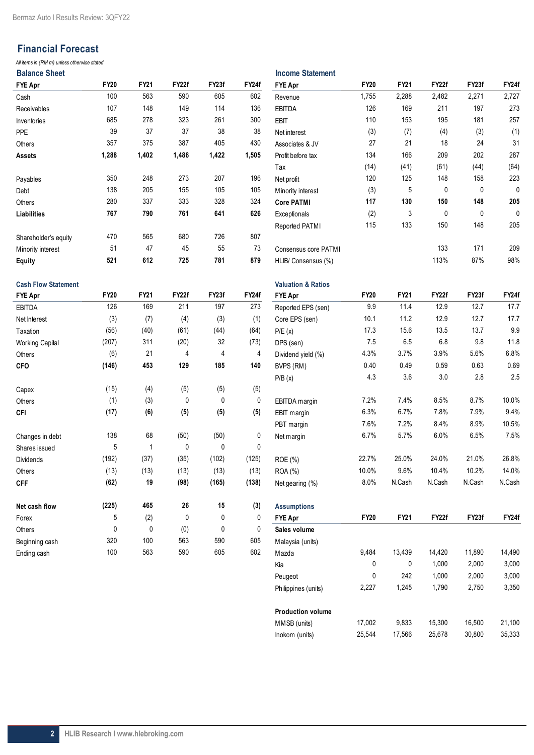### **Financial Forecast**

#### *All items in (RM m) unless otherwise stated*

| <b>Balance Shee</b> |  |  |  |  |  |  |
|---------------------|--|--|--|--|--|--|
|---------------------|--|--|--|--|--|--|

| <b>FYE Apr</b>       | <b>FY20</b> | FY21  | <b>FY22f</b> | FY <sub>23f</sub> | <b>FY24f</b> | <b>FYE Apr</b>       | <b>FY20</b> | <b>FY21</b> | <b>FY22f</b> | FY <sub>23f</sub> | FY24f |
|----------------------|-------------|-------|--------------|-------------------|--------------|----------------------|-------------|-------------|--------------|-------------------|-------|
| Cash                 | 100         | 563   | 590          | 605               | 602          | Revenue              | 1,755       | 2,288       | 2,482        | 2,271             | 2,727 |
| Receivables          | 107         | 148   | 149          | 114               | 136          | <b>EBITDA</b>        | 126         | 169         | 211          | 197               | 273   |
| Inventories          | 685         | 278   | 323          | 261               | 300          | <b>EBIT</b>          | 110         | 153         | 195          | 181               | 257   |
| <b>PPE</b>           | 39          | 37    | 37           | 38                | 38           | Net interest         | (3)         | (7)         | (4)          | (3)               | (1)   |
| Others               | 357         | 375   | 387          | 405               | 430          | Associates & JV      | 27          | 21          | 18           | 24                | 31    |
| Assets               | 1,288       | 1,402 | 1,486        | 1,422             | 1,505        | Profit before tax    | 134         | 166         | 209          | 202               | 287   |
|                      |             |       |              |                   |              | Tax                  | (14)        | (41)        | (61)         | (44)              | (64)  |
| Payables             | 350         | 248   | 273          | 207               | 196          | Net profit           | 120         | 125         | 148          | 158               | 223   |
| Debt                 | 138         | 205   | 155          | 105               | 105          | Minority interest    | (3)         | 5           | 0            | 0                 | 0     |
| Others               | 280         | 337   | 333          | 328               | 324          | <b>Core PATMI</b>    | 117         | 130         | 150          | 148               | 205   |
| <b>Liabilities</b>   | 767         | 790   | 761          | 641               | 626          | Exceptionals         | (2)         | 3           | 0            | 0                 | 0     |
|                      |             |       |              |                   |              | Reported PATMI       | 115         | 133         | 150          | 148               | 205   |
| Shareholder's equity | 470         | 565   | 680          | 726               | 807          |                      |             |             |              |                   |       |
| Minority interest    | 51          | 47    | 45           | 55                | 73           | Consensus core PATMI |             |             | 133          | 171               | 209   |
| <b>Equity</b>        | 521         | 612   | 725          | 781               | 879          | HLIB/ Consensus (%)  |             |             | 113%         | 87%               | 98%   |
|                      |             |       |              |                   |              |                      |             |             |              |                   |       |

| <b>Balance Sheet</b>       |             |             |       |                   |              | <b>Income Statement</b>       |             |       |                   |                   |             |
|----------------------------|-------------|-------------|-------|-------------------|--------------|-------------------------------|-------------|-------|-------------------|-------------------|-------------|
| FYE Apr                    | <b>FY20</b> | <b>FY21</b> | FY22f | FY <sub>23f</sub> | <b>FY24f</b> | FYE Apr                       | <b>FY20</b> | FY21  | <b>FY22f</b>      | FY <sub>23f</sub> | FY24f       |
| Cash                       | 100         | 563         | 590   | 605               | 602          | Revenue                       | 1,755       | 2,288 | 2,482             | 2,271             | 2,727       |
| Receivables                | 107         | 148         | 149   | 114               | 136          | <b>EBITDA</b>                 | 126         | 169   | 211               | 197               | 273         |
| Inventories                | 685         | 278         | 323   | 261               | 300          | <b>EBIT</b>                   | 110         | 153   | 195               | 181               | 257         |
| PPE                        | 39          | 37          | 37    | 38                | 38           | Net interest                  | (3)         | (7)   | (4)               | (3)               | (1)         |
| Others                     | 357         | 375         | 387   | 405               | 430          | Associates & JV               | 27          | 21    | 18                | 24                | 31          |
| Assets                     | 1,288       | 1,402       | 1,486 | 1,422             | 1,505        | Profit before tax             | 134         | 166   | 209               | 202               | 287         |
|                            |             |             |       |                   |              | Tax                           | (14)        | (41)  | (61)              | (44)              | (64)        |
| Payables                   | 350         | 248         | 273   | 207               | 196          | Net profit                    | 120         | 125   | 148               | 158               | 223         |
| Debt                       | 138         | 205         | 155   | 105               | 105          | Minority interest             | (3)         | 5     | 0                 | 0                 | $\mathbf 0$ |
| Others                     | 280         | 337         | 333   | 328               | 324          | <b>Core PATMI</b>             | 117         | 130   | 150               | 148               | 205         |
| Liabilities                | 767         | 790         | 761   | 641               | 626          | Exceptionals                  | (2)         | 3     | 0                 | 0                 | 0           |
|                            |             |             |       |                   |              | Reported PATMI                | 115         | 133   | 150               | 148               | 205         |
| Shareholder's equity       | 470         | 565         | 680   | 726               | 807          |                               |             |       |                   |                   |             |
| Minority interest          | 51          | 47          | 45    | 55                | 73           | Consensus core PATMI          |             |       | 133               | 171               | 209         |
| Equity                     | 521         | 612         | 725   | 781               | 879          | HLIB/ Consensus (%)           |             |       | 113%              | 87%               | 98%         |
| <b>Cash Flow Statement</b> |             |             |       |                   |              | <b>Valuation &amp; Ratios</b> |             |       |                   |                   |             |
| FYE Apr                    | <b>FY20</b> | FY21        | FY22f | FY <sub>23f</sub> | FY24f        | <b>FYE Apr</b>                | <b>FY20</b> | FY21  | FY <sub>22f</sub> | FY <sub>23f</sub> | FY24f       |
| <b>EBITDA</b>              | 126         | 169         | 211   | 197               | 273          | Reported EPS (sen)            | 9.9         | 11.4  | 12.9              | 12.7              | 17.7        |
| Net Interest               | (3)         | (7)         | (4)   | (3)               | (1)          | Core EPS (sen)                | 10.1        | 11.2  | 12.9              | 12.7              | 17.7        |
| Taxation                   | (56)        | (40)        | (61)  | (44)              | (64)         | P/E(x)                        | 17.3        | 15.6  | 13.5              | 13.7              | 9.9         |
|                            |             |             |       |                   |              |                               |             |       |                   |                   |             |

| <b>Cash Flow Statement</b> | <b>Valuation &amp; Ratios</b> |
|----------------------------|-------------------------------|
|                            |                               |

| г то дрг               | <b>LITA</b> | <b>FILI</b> | <b>FILLI</b> | г і 40 і | Г I 441 | <b>FIL API</b>     | <b>LITA</b> | <b>FILI</b> | <b>FILLI</b> | г і zəl | <b>LI41</b> |
|------------------------|-------------|-------------|--------------|----------|---------|--------------------|-------------|-------------|--------------|---------|-------------|
| EBITDA                 | 126         | 169         | 211          | 197      | 273     | Reported EPS (sen) | 9.9         | 11.4        | 12.9         | 12.7    | 17.7        |
| Net Interest           | (3)         | (7)         | (4)          | (3)      | (1)     | Core EPS (sen)     | 10.1        | 11.2        | 12.9         | 12.7    | 17.7        |
| Taxation               | (56)        | (40)        | (61)         | (44)     | (64)    | P/E(x)             | 17.3        | 15.6        | 13.5         | 13.7    | 9.9         |
| <b>Working Capital</b> | (207)       | 311         | (20)         | 32       | (73)    | DPS (sen)          | 7.5         | 6.5         | 6.8          | 9.8     | 11.8        |
| Others                 | (6)         | 21          | 4            | 4        | 4       | Dividend yield (%) | 4.3%        | 3.7%        | 3.9%         | 5.6%    | 6.8%        |
| <b>CFO</b>             | (146)       | 453         | 129          | 185      | 140     | BVPS (RM)          | 0.40        | 0.49        | 0.59         | 0.63    | 0.69        |
|                        |             |             |              |          |         | P/B(x)             | 4.3         | 3.6         | 3.0          | 2.8     | 2.5         |
| Capex                  | (15)        | (4)         | (5)          | (5)      | (5)     |                    |             |             |              |         |             |
| Others                 | (1)         | (3)         | 0            | 0        | 0       | EBITDA margin      | 7.2%        | 7.4%        | 8.5%         | 8.7%    | 10.0%       |
| CFI                    | (17)        | (6)         | (5)          | (5)      | (5)     | EBIT margin        | 6.3%        | 6.7%        | 7.8%         | 7.9%    | 9.4%        |
|                        |             |             |              |          |         | PBT margin         | 7.6%        | 7.2%        | 8.4%         | 8.9%    | 10.5%       |
| Changes in debt        | 138         | 68          | (50)         | (50)     | 0       | Net margin         | 6.7%        | 5.7%        | 6.0%         | 6.5%    | 7.5%        |
| Shares issued          | 5           |             | 0            | 0        | 0       |                    |             |             |              |         |             |
| Dividends              | (192)       | (37)        | (35)         | (102)    | (125)   | ROE (%)            | 22.7%       | 25.0%       | 24.0%        | 21.0%   | 26.8%       |
| Others                 | (13)        | (13)        | (13)         | (13)     | (13)    | ROA (%)            | 10.0%       | 9.6%        | 10.4%        | 10.2%   | 14.0%       |
| <b>CFF</b>             | (62)        | 19          | (98)         | (165)    | (138)   | Net gearing (%)    | 8.0%        | N.Cash      | N.Cash       | N.Cash  | N.Cash      |
| Net cash flow          | (225)       | 465         | 26           | 15       | (3)     | <b>Assumptions</b> |             |             |              |         |             |
| Forex                  | 5           | (2)         | 0            | 0        | 0       | FYE Apr            | <b>FY20</b> | <b>FY21</b> | FY22f        | FY23f   | FY24f       |
| Others                 | 0           | 0           | (0)          | 0        | 0       | Sales volume       |             |             |              |         |             |
| Beginning cash         | 320         | 100         | 563          | 590      | 605     | Malaysia (units)   |             |             |              |         |             |
| Ending cach            | 100         | 563         | 590          | 605      | 602     | $M$ ozdo           | 9 4 8 4     | 13 439      | 14 4 2 0     | 11 890  | 14 490      |

| г нь мун             | I ILV       | I I L I     | 1 I L L I    | I ILVI            | I I 471 |
|----------------------|-------------|-------------|--------------|-------------------|---------|
| Reported EPS (sen)   | 9.9         | 11.4        | 12.9         | 12.7              | 17.7    |
| Core EPS (sen)       | 10.1        | 11.2        | 12.9         | 12.7              | 17.7    |
| P/E(x)               | 17.3        | 15.6        | 13.5         | 13.7              | 9.9     |
| DPS (sen)            | 7.5         | 6.5         | 6.8          | 9.8               | 11.8    |
| Dividend yield (%)   | 4.3%        | 3.7%        | 3.9%         | 5.6%              | 6.8%    |
| BVPS (RM)            | 0.40        | 0.49        | 0.59         | 0.63              | 0.69    |
| P/B(x)               | 4.3         | 3.6         | 3.0          | 2.8               | 2.5     |
| <b>EBITDA</b> margin | 7.2%        | 7.4%        | 8.5%         | 8.7%              | 10.0%   |
| EBIT margin          | 6.3%        | 6.7%        | 7.8%         | 7.9%              | 9.4%    |
| PBT margin           | 7.6%        | 7.2%        | 8.4%         | 8.9%              | 10.5%   |
| Net margin           | 6.7%        | 5.7%        | 6.0%         | 6.5%              | 7.5%    |
| ROE (%)              | 22.7%       | 25.0%       | 24.0%        | 21.0%             | 26.8%   |
| ROA (%)              | 10.0%       | 9.6%        | 10.4%        | 10.2%             | 14.0%   |
| Net gearing (%)      | 8.0%        | N.Cash      | N.Cash       | N.Cash            | N.Cash  |
| <b>Assumptions</b>   |             |             |              |                   |         |
| FYE Apr              | <b>FY20</b> | <b>FY21</b> | <b>FY22f</b> | FY <sub>23f</sub> | FY24f   |
| Sales volume         |             |             |              |                   |         |
|                      |             |             |              |                   |         |

|                | . – – – , |     |     |     | $\sqrt{ }$ | <b><i>FIGURILIPLION</i></b> |             |             |              |                   |        |
|----------------|-----------|-----|-----|-----|------------|-----------------------------|-------------|-------------|--------------|-------------------|--------|
| Forex          | 5         | (2) | 0   | 0   | 0          | FYE Apr                     | <b>FY20</b> | <b>FY21</b> | <b>FY22f</b> | FY <sub>23f</sub> | FY24f  |
| Others         | 0         | 0   | (0) | 0   | 0          | Sales volume                |             |             |              |                   |        |
| Beginning cash | 320       | 100 | 563 | 590 | 605        | Malaysia (units)            |             |             |              |                   |        |
| Ending cash    | 100       | 563 | 590 | 605 | 602        | Mazda                       | 9,484       | 13,439      | 14,420       | 11,890            | 14,490 |
|                |           |     |     |     |            | Kia                         | 0           | 0           | 1,000        | 2,000             | 3,000  |
|                |           |     |     |     |            | Peugeot                     | 0           | 242         | 1,000        | 2,000             | 3,000  |
|                |           |     |     |     |            | Philippines (units)         | 2,227       | 1,245       | 1,790        | 2,750             | 3,350  |
|                |           |     |     |     |            | <b>Production volume</b>    |             |             |              |                   |        |
|                |           |     |     |     |            | MMSB (units)                | 17,002      | 9,833       | 15,300       | 16,500            | 21,100 |
|                |           |     |     |     |            | Inokom (units)              | 25,544      | 17,566      | 25,678       | 30,800            | 35,333 |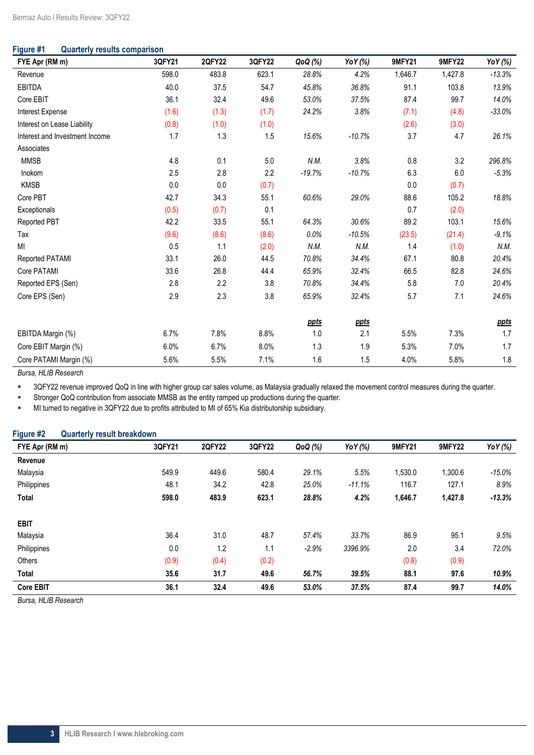#### **Figure #1 Quarterly results comparison**

| FYE Apr (RM m)                 | 3QFY21 | <b>2QFY22</b> | 3QFY22 | QoQ (%)     | Yo Y (%)           | <b>9MFY21</b> | <b>9MFY22</b> | Yo Y (%)           |
|--------------------------------|--------|---------------|--------|-------------|--------------------|---------------|---------------|--------------------|
| Revenue                        | 598.0  | 483.8         | 623.1  | 28.8%       | 4.2%               | 1,646.7       | 1,427.8       | $-13.3%$           |
| <b>EBITDA</b>                  | 40.0   | 37.5          | 54.7   | 45.8%       | 36.8%              | 91.1          | 103.8         | 13.9%              |
| Core EBIT                      | 36.1   | 32.4          | 49.6   | 53.0%       | 37.5%              | 87.4          | 99.7          | 14.0%              |
| Interest Expense               | (1.6)  | (1.3)         | (1.7)  | 24.2%       | 3.8%               | (7.1)         | (4.8)         | $-33.0%$           |
| Interest on Lease Liability    | (0.8)  | (1.0)         | (1.0)  |             |                    | (2.6)         | (3.0)         |                    |
| Interest and Investment Income | 1.7    | 1.3           | 1.5    | 15.6%       | $-10.7%$           | 3.7           | 4.7           | 26.1%              |
| Associates                     |        |               |        |             |                    |               |               |                    |
| <b>MMSB</b>                    | 4.8    | 0.1           | 5.0    | N.M.        | 3.8%               | 0.8           | 3.2           | 296.8%             |
| Inokom                         | 2.5    | 2.8           | 2.2    | $-19.7%$    | $-10.7%$           | 6.3           | 6.0           | $-5.3%$            |
| <b>KMSB</b>                    | 0.0    | 0.0           | (0.7)  |             |                    | 0.0           | (0.7)         |                    |
| Core PBT                       | 42.7   | 34.3          | 55.1   | 60.6%       | 29.0%              | 88.6          | 105.2         | 18.8%              |
| Exceptionals                   | (0.5)  | (0.7)         | 0.1    |             |                    | 0.7           | (2.0)         |                    |
| Reported PBT                   | 42.2   | 33.5          | 55.1   | 64.3%       | 30.6%              | 89.2          | 103.1         | 15.6%              |
| Tax                            | (9.6)  | (8.6)         | (8.6)  | 0.0%        | $-10.5%$           | (23.5)        | (21.4)        | $-9.1%$            |
| MI                             | 0.5    | 1.1           | (2.0)  | N.M.        | N.M.               | 1.4           | (1.0)         | N.M.               |
| <b>Reported PATAMI</b>         | 33.1   | 26.0          | 44.5   | 70.8%       | 34.4%              | 67.1          | 80.8          | 20.4%              |
| Core PATAMI                    | 33.6   | 26.8          | 44.4   | 65.9%       | 32.4%              | 66.5          | 82.8          | 24.6%              |
| Reported EPS (Sen)             | 2.8    | 2.2           | 3.8    | 70.8%       | 34.4%              | 5.8           | 7.0           | 20.4%              |
| Core EPS (Sen)                 | 2.9    | 2.3           | 3.8    | 65.9%       | 32.4%              | 5.7           | 7.1           | 24.6%              |
|                                |        |               |        |             |                    |               |               |                    |
| EBITDA Margin (%)              | 6.7%   | 7.8%          | 8.8%   | ppts<br>1.0 | <u>ppts</u><br>2.1 | 5.5%          | 7.3%          | <u>ppts</u><br>1.7 |
| Core EBIT Margin (%)           | 6.0%   | 6.7%          | 8.0%   | 1.3         | 1.9                | 5.3%          | 7.0%          | 1.7                |
|                                |        |               |        |             |                    |               |               |                    |
| Core PATAMI Margin (%)         | 5.6%   | 5.5%          | 7.1%   | 1.6         | 1.5                | 4.0%          | 5.8%          | 1.8                |

*Bursa, HLIB Research* 

3QFY22 revenue improved QoQ in line with higher group car sales volume, as Malaysia gradually relaxed the movement control measures during the quarter.

Stronger QoQ contribution from associate MMSB as the entity ramped up productions during the quarter.

MI turned to negative in 3QFY22 due to profits attributed to MI of 65% Kia distributorship subsidiary.

| Figure #2        | <b>Quarterly result breakdown</b> |               |        |         |          |               |               |          |
|------------------|-----------------------------------|---------------|--------|---------|----------|---------------|---------------|----------|
| FYE Apr (RM m)   | 3QFY21                            | <b>2QFY22</b> | 3QFY22 | QoQ (%) | Yo Y (%) | <b>9MFY21</b> | <b>9MFY22</b> | Yo Y (%) |
| Revenue          |                                   |               |        |         |          |               |               |          |
| Malaysia         | 549.9                             | 449.6         | 580.4  | 29.1%   | 5.5%     | 1,530.0       | 1,300.6       | $-15.0%$ |
| Philippines      | 48.1                              | 34.2          | 42.8   | 25.0%   | $-11.1%$ | 116.7         | 127.1         | 8.9%     |
| <b>Total</b>     | 598.0                             | 483.9         | 623.1  | 28.8%   | 4.2%     | 1,646.7       | 1,427.8       | $-13.3%$ |
| <b>EBIT</b>      |                                   |               |        |         |          |               |               |          |
| Malaysia         | 36.4                              | 31.0          | 48.7   | 57.4%   | 33.7%    | 86.9          | 95.1          | 9.5%     |
| Philippines      |                                   | 0.0<br>1.2    | 1.1    | $-2.9%$ | 3396.9%  | 2.0           | 3.4           | 72.0%    |
| Others           | (0.9)                             | (0.4)         | (0.2)  |         |          | (0.8)         | (0.9)         |          |
| Total            | 35.6                              | 31.7          | 49.6   | 56.7%   | 39.5%    | 88.1          | 97.6          | 10.9%    |
| <b>Core EBIT</b> | 36.1                              | 32.4          | 49.6   | 53.0%   | 37.5%    | 87.4          | 99.7          | 14.0%    |

*Bursa, HLIB Research*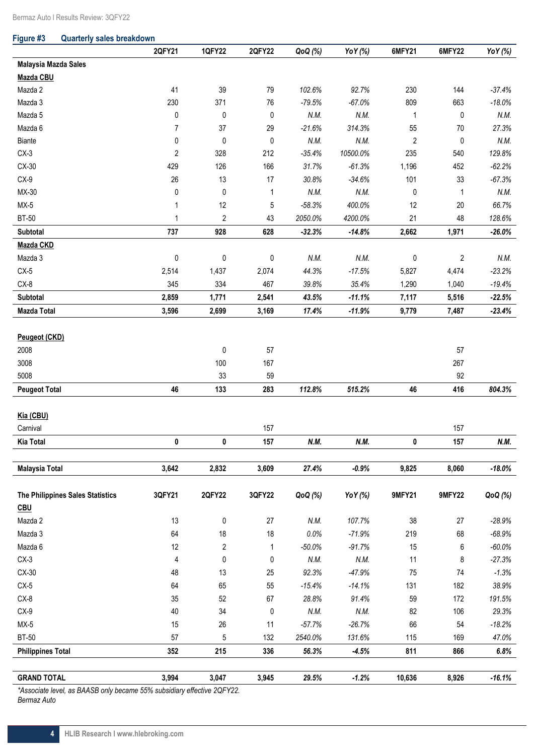Bermaz Auto l Results Review: 3QFY22

| . .gu. o <i>.</i> . o<br>*********<br><u>UMIUU MTUMINUUTTII</u> | <b>2QFY21</b>           | <b>1QFY22</b>           | <b>2QFY22</b> | QoQ (%)  | Yo Y (%) | 6MFY21           | 6MFY22         | Yo Y (%)  |
|-----------------------------------------------------------------|-------------------------|-------------------------|---------------|----------|----------|------------------|----------------|-----------|
| <b>Malaysia Mazda Sales</b>                                     |                         |                         |               |          |          |                  |                |           |
| Mazda CBU                                                       |                         |                         |               |          |          |                  |                |           |
| Mazda 2                                                         | 41                      | 39                      | 79            | 102.6%   | 92.7%    | 230              | 144            | $-37.4%$  |
| Mazda 3                                                         | 230                     | 371                     | 76            | $-79.5%$ | $-67.0%$ | 809              | 663            | $-18.0%$  |
| Mazda 5                                                         | $\pmb{0}$               | $\pmb{0}$               | $\pmb{0}$     | N.M.     | N.M.     | 1                | 0              | N.M.      |
| Mazda 6                                                         | $\overline{7}$          | 37                      | 29            | $-21.6%$ | 314.3%   | 55               | $70\,$         | 27.3%     |
| Biante                                                          | $\pmb{0}$               | $\pmb{0}$               | $\pmb{0}$     | N.M.     | N.M.     | $\boldsymbol{2}$ | 0              | N.M.      |
| $CX-3$                                                          | $\sqrt{2}$              | 328                     | 212           | $-35.4%$ | 10500.0% | 235              | 540            | 129.8%    |
| CX-30                                                           | 429                     | 126                     | 166           | 31.7%    | $-61.3%$ | 1,196            | 452            | $-62.2%$  |
| $CX-9$                                                          | 26                      | 13                      | 17            | 30.8%    | $-34.6%$ | 101              | 33             | $-67.3%$  |
| MX-30                                                           | $\pmb{0}$               | $\pmb{0}$               | 1             | N.M.     | N.M.     | $\pmb{0}$        | $\mathbf{1}$   | N.M.      |
| $MX-5$                                                          |                         | 12                      | 5             | $-58.3%$ | 400.0%   | 12               | 20             | 66.7%     |
| <b>BT-50</b>                                                    | $\mathbf{1}$            | $\overline{\mathbf{c}}$ | 43            | 2050.0%  | 4200.0%  | 21               | 48             | 128.6%    |
| Subtotal                                                        | 737                     | 928                     | 628           | $-32.3%$ | $-14.8%$ | 2,662            | 1,971          | $-26.0%$  |
| Mazda CKD                                                       |                         |                         |               |          |          |                  |                |           |
| Mazda 3                                                         | $\pmb{0}$               | $\pmb{0}$               | 0             | N.M.     | N.M.     | $\pmb{0}$        | $\overline{c}$ | N.M.      |
| $CX-5$                                                          | 2,514                   | 1,437                   | 2,074         | 44.3%    | $-17.5%$ | 5,827            | 4,474          | $-23.2%$  |
| $CX-8$                                                          | 345                     | 334                     | 467           | 39.8%    | 35.4%    | 1,290            | 1,040          | $-19.4%$  |
| Subtotal                                                        | 2,859                   | 1,771                   | 2,541         | 43.5%    | $-11.1%$ | 7,117            | 5,516          | $-22.5%$  |
| <b>Mazda Total</b>                                              | 3,596                   | 2,699                   | 3,169         | 17.4%    | $-11.9%$ | 9,779            | 7,487          | $-23.4%$  |
|                                                                 |                         |                         |               |          |          |                  |                |           |
| Peugeot (CKD)                                                   |                         |                         |               |          |          |                  |                |           |
| 2008                                                            |                         | $\pmb{0}$               | 57            |          |          |                  | 57             |           |
| 3008                                                            |                         | 100                     | 167           |          |          |                  | 267            |           |
| 5008                                                            |                         | 33                      | 59            |          |          |                  | 92             |           |
| <b>Peugeot Total</b>                                            | 46                      | 133                     | 283           | 112.8%   | 515.2%   | 46               | 416            | 804.3%    |
|                                                                 |                         |                         |               |          |          |                  |                |           |
| Kia (CBU)                                                       |                         |                         |               |          |          |                  |                |           |
| Carnival                                                        |                         |                         | 157           |          |          |                  | 157            |           |
| <b>Kia Total</b>                                                | $\mathbf{0}$            | 0                       | 157           | N.M.     | N.M.     | $\mathbf{0}$     | 157            | N.M.      |
|                                                                 |                         |                         |               |          |          |                  |                |           |
| <b>Malaysia Total</b>                                           | 3,642                   | 2,832                   | 3,609         | 27.4%    | $-0.9%$  | 9,825            | 8,060          | $-18.0%$  |
|                                                                 |                         |                         |               |          |          |                  |                |           |
| The Philippines Sales Statistics                                | 3QFY21                  | <b>2QFY22</b>           | 3QFY22        | QoQ (%)  | Yo Y (%) | <b>9MFY21</b>    | <b>9MFY22</b>  | QoQ (%)   |
| <b>CBU</b>                                                      |                         |                         |               |          |          |                  |                |           |
| Mazda 2                                                         | 13                      | $\pmb{0}$               | 27            | N.M.     | 107.7%   | 38               | 27             | $-28.9%$  |
| Mazda 3                                                         | 64                      | 18                      | 18            | 0.0%     | $-71.9%$ | 219              | 68             | $-68.9%$  |
| Mazda 6                                                         | 12                      | $\overline{c}$          | $\mathbf{1}$  | $-50.0%$ | $-91.7%$ | 15               | 6              | $-60.0\%$ |
| $CX-3$                                                          | $\overline{\mathbf{4}}$ | $\pmb{0}$               | 0             | N.M.     | N.M.     | 11               | 8              | $-27.3%$  |
| CX-30                                                           | 48                      | 13                      | 25            | 92.3%    | $-47.9%$ | 75               | 74             | $-1.3%$   |
| $CX-5$                                                          | 64                      | 65                      | 55            | $-15.4%$ | $-14.1%$ | 131              | 182            | 38.9%     |
| $CX-8$                                                          | 35                      | 52                      | 67            | 28.8%    | 91.4%    | 59               | 172            | 191.5%    |
| $CX-9$                                                          | 40                      | 34                      | 0             | N.M.     | N.M.     | 82               | 106            | 29.3%     |
| $MX-5$                                                          | 15                      | 26                      | 11            | $-57.7%$ | $-26.7%$ | 66               | 54             | $-18.2%$  |
| <b>BT-50</b>                                                    | 57                      | 5                       | 132           | 2540.0%  | 131.6%   | 115              | 169            | 47.0%     |
| <b>Philippines Total</b>                                        | 352                     | 215                     | 336           | 56.3%    | $-4.5%$  | 811              | 866            | 6.8%      |
|                                                                 |                         |                         |               |          |          |                  |                |           |
| <b>GRAND TOTAL</b>                                              | 3,994                   | 3,047                   | 3,945         | 29.5%    | $-1.2%$  | 10,636           | 8,926          | $-16.1%$  |

*\*Associate level, as BAASB only became 55% subsidiary effective 2QFY22. Bermaz Auto*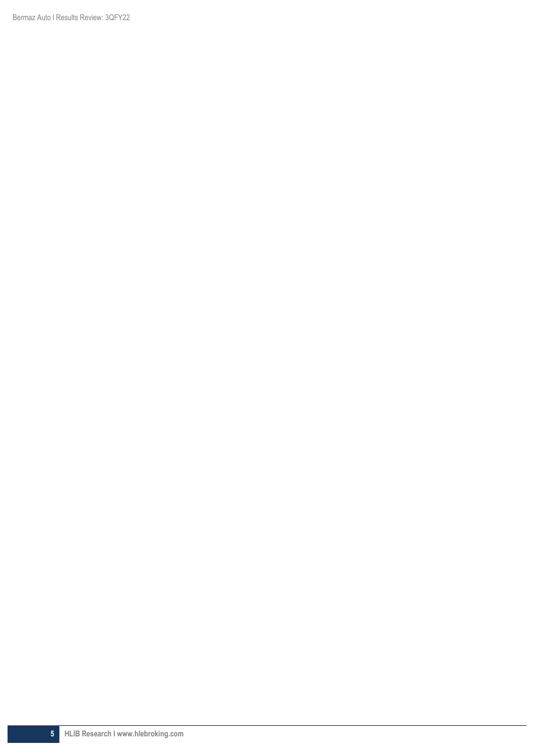Bermaz Auto l Results Review: 3QFY22